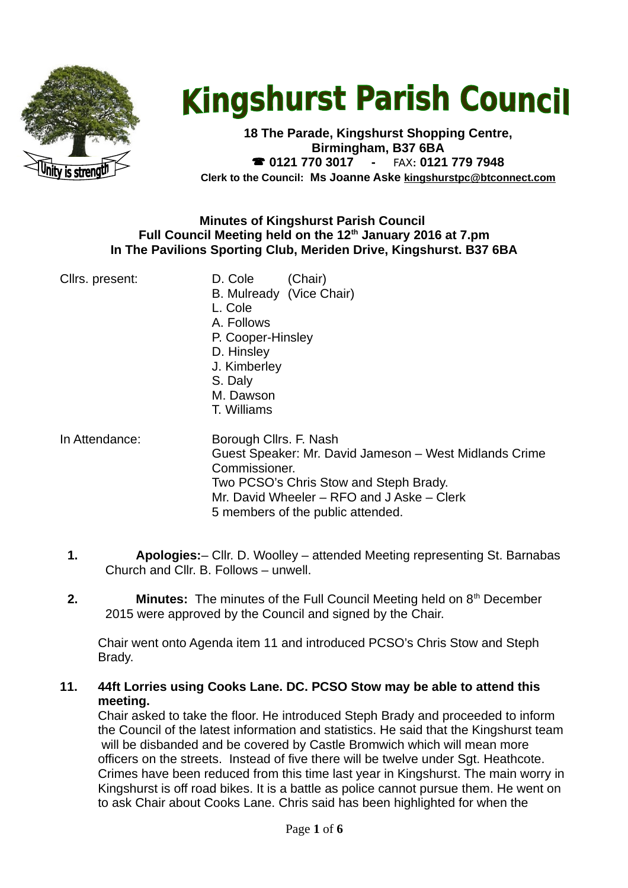

# **Kingshurst Parish Council**

**18 The Parade, Kingshurst Shopping Centre, Birmingham, B37 6BA 0121 770 3017 -** FAX**: 0121 779 7948 Clerk to the Council: Ms Joanne Aske [kingshurstpc@btconnect.com](mailto:kingshurstpc@btconnect.com)**

#### **Minutes of Kingshurst Parish Council Full Council Meeting held on the 12th January 2016 at 7.pm In The Pavilions Sporting Club, Meriden Drive, Kingshurst. B37 6BA**

| Cllrs. present: | D. Cole<br>(Chair)<br>B. Mulready (Vice Chair)<br>L. Cole<br>A. Follows<br>P. Cooper-Hinsley<br>D. Hinsley<br>J. Kimberley<br>S. Daly<br>M. Dawson                                                                             |
|-----------------|--------------------------------------------------------------------------------------------------------------------------------------------------------------------------------------------------------------------------------|
|                 | T. Williams                                                                                                                                                                                                                    |
| In Attendance:  | Borough Cllrs. F. Nash<br>Guest Speaker: Mr. David Jameson - West Midlands Crime<br>Commissioner.<br>Two PCSO's Chris Stow and Steph Brady.<br>Mr. David Wheeler – RFO and J Aske – Clerk<br>5 members of the public attended. |

- **1. Apologies:** Cllr. D. Woolley attended Meeting representing St. Barnabas Church and Cllr. B. Follows – unwell.
- **2. Minutes:** The minutes of the Full Council Meeting held on 8<sup>th</sup> December 2015 were approved by the Council and signed by the Chair.

Chair went onto Agenda item 11 and introduced PCSO's Chris Stow and Steph Brady.

# **11. 44ft Lorries using Cooks Lane. DC. PCSO Stow may be able to attend this meeting.**

Chair asked to take the floor. He introduced Steph Brady and proceeded to inform the Council of the latest information and statistics. He said that the Kingshurst team will be disbanded and be covered by Castle Bromwich which will mean more officers on the streets. Instead of five there will be twelve under Sgt. Heathcote. Crimes have been reduced from this time last year in Kingshurst. The main worry in Kingshurst is off road bikes. It is a battle as police cannot pursue them. He went on to ask Chair about Cooks Lane. Chris said has been highlighted for when the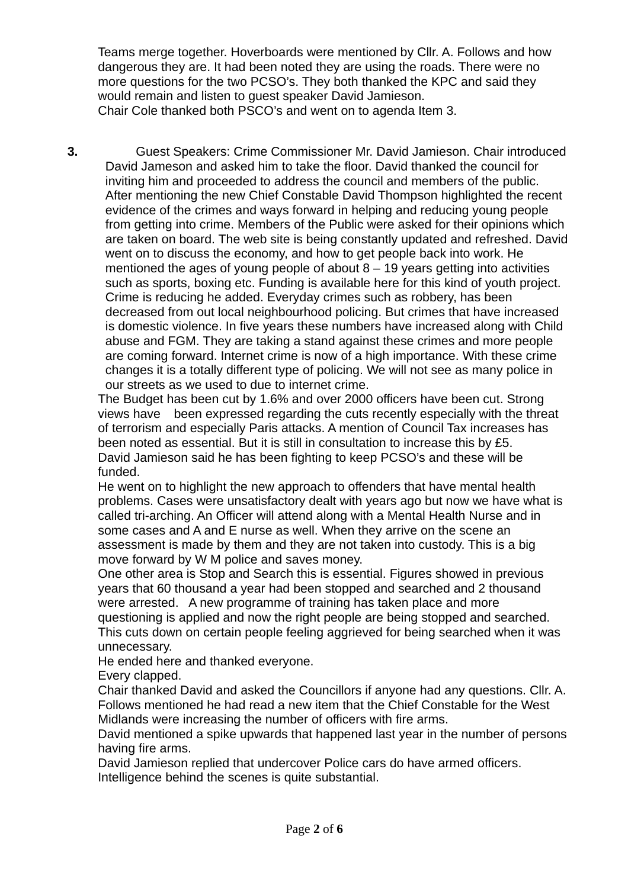Teams merge together. Hoverboards were mentioned by Cllr. A. Follows and how dangerous they are. It had been noted they are using the roads. There were no more questions for the two PCSO's. They both thanked the KPC and said they would remain and listen to guest speaker David Jamieson. Chair Cole thanked both PSCO's and went on to agenda Item 3.

**3.** Guest Speakers: Crime Commissioner Mr. David Jamieson. Chair introduced David Jameson and asked him to take the floor. David thanked the council for inviting him and proceeded to address the council and members of the public. After mentioning the new Chief Constable David Thompson highlighted the recent evidence of the crimes and ways forward in helping and reducing young people from getting into crime. Members of the Public were asked for their opinions which are taken on board. The web site is being constantly updated and refreshed. David went on to discuss the economy, and how to get people back into work. He mentioned the ages of young people of about 8 – 19 years getting into activities such as sports, boxing etc. Funding is available here for this kind of youth project. Crime is reducing he added. Everyday crimes such as robbery, has been decreased from out local neighbourhood policing. But crimes that have increased is domestic violence. In five years these numbers have increased along with Child abuse and FGM. They are taking a stand against these crimes and more people are coming forward. Internet crime is now of a high importance. With these crime changes it is a totally different type of policing. We will not see as many police in our streets as we used to due to internet crime.

The Budget has been cut by 1.6% and over 2000 officers have been cut. Strong views have been expressed regarding the cuts recently especially with the threat of terrorism and especially Paris attacks. A mention of Council Tax increases has been noted as essential. But it is still in consultation to increase this by £5. David Jamieson said he has been fighting to keep PCSO's and these will be funded.

He went on to highlight the new approach to offenders that have mental health problems. Cases were unsatisfactory dealt with years ago but now we have what is called tri-arching. An Officer will attend along with a Mental Health Nurse and in some cases and A and E nurse as well. When they arrive on the scene an assessment is made by them and they are not taken into custody. This is a big move forward by W M police and saves money.

One other area is Stop and Search this is essential. Figures showed in previous years that 60 thousand a year had been stopped and searched and 2 thousand were arrested. A new programme of training has taken place and more questioning is applied and now the right people are being stopped and searched. This cuts down on certain people feeling aggrieved for being searched when it was unnecessary.

He ended here and thanked everyone.

Every clapped.

Chair thanked David and asked the Councillors if anyone had any questions. Cllr. A. Follows mentioned he had read a new item that the Chief Constable for the West Midlands were increasing the number of officers with fire arms.

David mentioned a spike upwards that happened last year in the number of persons having fire arms.

David Jamieson replied that undercover Police cars do have armed officers. Intelligence behind the scenes is quite substantial.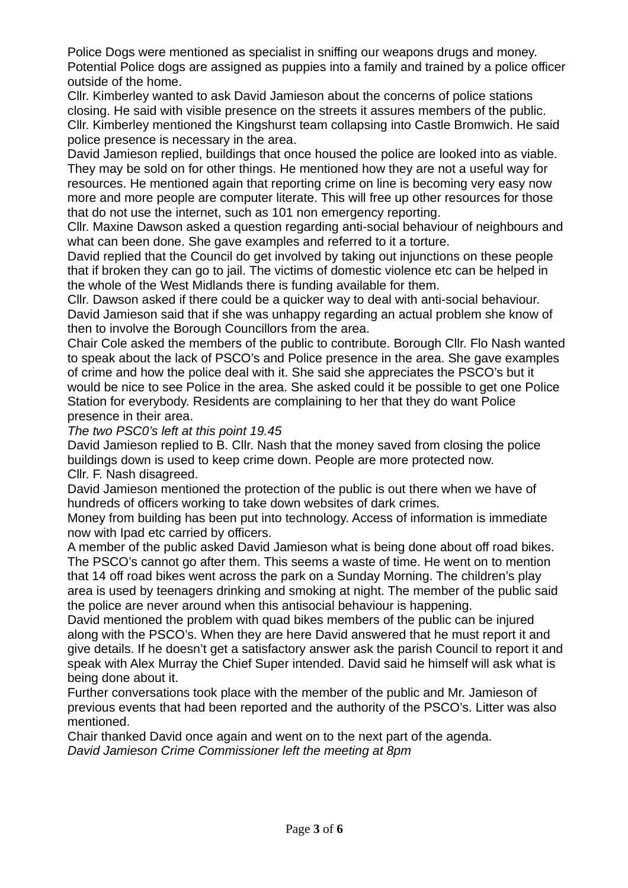Police Dogs were mentioned as specialist in sniffing our weapons drugs and money. Potential Police dogs are assigned as puppies into a family and trained by a police officer outside of the home.

Cllr. Kimberley wanted to ask David Jamieson about the concerns of police stations closing. He said with visible presence on the streets it assures members of the public. Cllr. Kimberley mentioned the Kingshurst team collapsing into Castle Bromwich. He said police presence is necessary in the area.

David Jamieson replied, buildings that once housed the police are looked into as viable. They may be sold on for other things. He mentioned how they are not a useful way for resources. He mentioned again that reporting crime on line is becoming very easy now more and more people are computer literate. This will free up other resources for those that do not use the internet, such as 101 non emergency reporting.

Cllr. Maxine Dawson asked a question regarding anti-social behaviour of neighbours and what can been done. She gave examples and referred to it a torture.

David replied that the Council do get involved by taking out injunctions on these people that if broken they can go to jail. The victims of domestic violence etc can be helped in the whole of the West Midlands there is funding available for them.

Cllr. Dawson asked if there could be a quicker way to deal with anti-social behaviour. David Jamieson said that if she was unhappy regarding an actual problem she know of then to involve the Borough Councillors from the area.

Chair Cole asked the members of the public to contribute. Borough Cllr. Flo Nash wanted to speak about the lack of PSCO's and Police presence in the area. She gave examples of crime and how the police deal with it. She said she appreciates the PSCO's but it would be nice to see Police in the area. She asked could it be possible to get one Police Station for everybody. Residents are complaining to her that they do want Police presence in their area.

*The two PSC0's left at this point 19.45*

David Jamieson replied to B. Cllr. Nash that the money saved from closing the police buildings down is used to keep crime down. People are more protected now. Cllr. F. Nash disagreed.

David Jamieson mentioned the protection of the public is out there when we have of hundreds of officers working to take down websites of dark crimes.

Money from building has been put into technology. Access of information is immediate now with Ipad etc carried by officers.

A member of the public asked David Jamieson what is being done about off road bikes. The PSCO's cannot go after them. This seems a waste of time. He went on to mention that 14 off road bikes went across the park on a Sunday Morning. The children's play area is used by teenagers drinking and smoking at night. The member of the public said the police are never around when this antisocial behaviour is happening.

David mentioned the problem with quad bikes members of the public can be injured along with the PSCO's. When they are here David answered that he must report it and give details. If he doesn't get a satisfactory answer ask the parish Council to report it and speak with Alex Murray the Chief Super intended. David said he himself will ask what is being done about it.

Further conversations took place with the member of the public and Mr. Jamieson of previous events that had been reported and the authority of the PSCO's. Litter was also mentioned.

Chair thanked David once again and went on to the next part of the agenda. *David Jamieson Crime Commissioner left the meeting at 8pm*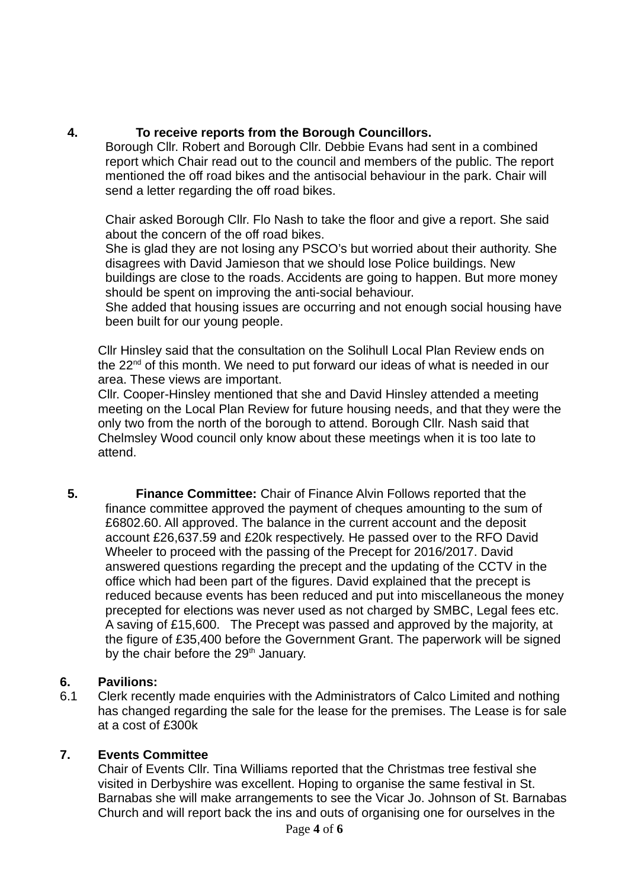### **4. To receive reports from the Borough Councillors.**

Borough Cllr. Robert and Borough Cllr. Debbie Evans had sent in a combined report which Chair read out to the council and members of the public. The report mentioned the off road bikes and the antisocial behaviour in the park. Chair will send a letter regarding the off road bikes.

Chair asked Borough Cllr. Flo Nash to take the floor and give a report. She said about the concern of the off road bikes.

She is glad they are not losing any PSCO's but worried about their authority. She disagrees with David Jamieson that we should lose Police buildings. New buildings are close to the roads. Accidents are going to happen. But more money should be spent on improving the anti-social behaviour.

She added that housing issues are occurring and not enough social housing have been built for our young people.

Cllr Hinsley said that the consultation on the Solihull Local Plan Review ends on the  $22<sup>nd</sup>$  of this month. We need to put forward our ideas of what is needed in our area. These views are important.

Cllr. Cooper-Hinsley mentioned that she and David Hinsley attended a meeting meeting on the Local Plan Review for future housing needs, and that they were the only two from the north of the borough to attend. Borough Cllr. Nash said that Chelmsley Wood council only know about these meetings when it is too late to attend.

**5. Finance Committee:** Chair of Finance Alvin Follows reported that the finance committee approved the payment of cheques amounting to the sum of £6802.60. All approved. The balance in the current account and the deposit account £26,637.59 and £20k respectively. He passed over to the RFO David Wheeler to proceed with the passing of the Precept for 2016/2017. David answered questions regarding the precept and the updating of the CCTV in the office which had been part of the figures. David explained that the precept is reduced because events has been reduced and put into miscellaneous the money precepted for elections was never used as not charged by SMBC, Legal fees etc. A saving of £15,600. The Precept was passed and approved by the majority, at the figure of £35,400 before the Government Grant. The paperwork will be signed by the chair before the 29<sup>th</sup> January.

# **6. Pavilions:**

6.1 Clerk recently made enquiries with the Administrators of Calco Limited and nothing has changed regarding the sale for the lease for the premises. The Lease is for sale at a cost of £300k

# **7. Events Committee**

Chair of Events Cllr. Tina Williams reported that the Christmas tree festival she visited in Derbyshire was excellent. Hoping to organise the same festival in St. Barnabas she will make arrangements to see the Vicar Jo. Johnson of St. Barnabas Church and will report back the ins and outs of organising one for ourselves in the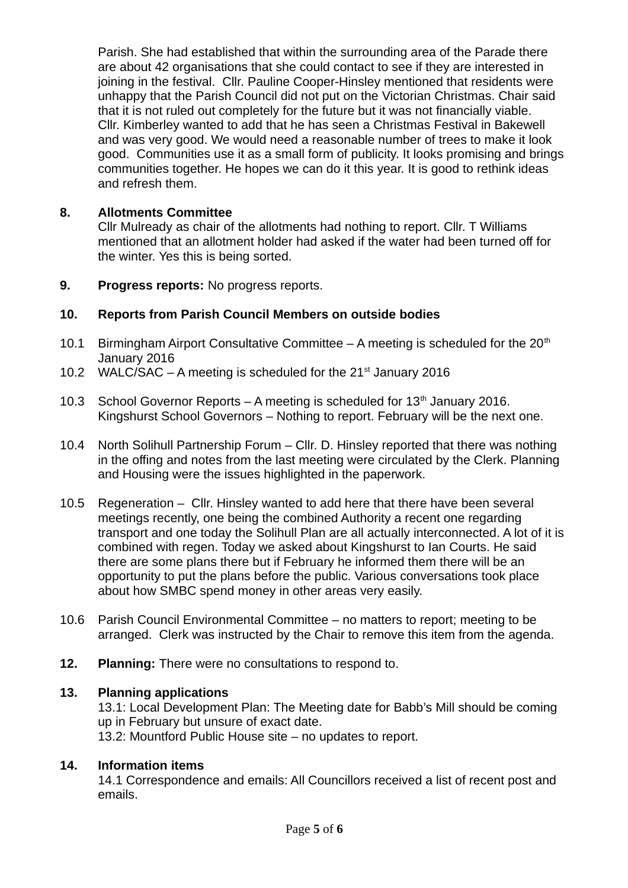Parish. She had established that within the surrounding area of the Parade there are about 42 organisations that she could contact to see if they are interested in joining in the festival. Cllr. Pauline Cooper-Hinsley mentioned that residents were unhappy that the Parish Council did not put on the Victorian Christmas. Chair said that it is not ruled out completely for the future but it was not financially viable. Cllr. Kimberley wanted to add that he has seen a Christmas Festival in Bakewell and was very good. We would need a reasonable number of trees to make it look good. Communities use it as a small form of publicity. It looks promising and brings communities together. He hopes we can do it this year. It is good to rethink ideas and refresh them.

#### **8. Allotments Committee**

Cllr Mulready as chair of the allotments had nothing to report. Cllr. T Williams mentioned that an allotment holder had asked if the water had been turned off for the winter. Yes this is being sorted.

**9. Progress reports:** No progress reports.

# **10. Reports from Parish Council Members on outside bodies**

- 10.1 Birmingham Airport Consultative Committee  $-$  A meeting is scheduled for the 20<sup>th</sup> January 2016
- 10.2 WALC/SAC A meeting is scheduled for the  $21<sup>st</sup>$  January 2016
- 10.3 School Governor Reports A meeting is scheduled for  $13<sup>th</sup>$  January 2016. Kingshurst School Governors – Nothing to report. February will be the next one.
- 10.4 North Solihull Partnership Forum Cllr. D. Hinsley reported that there was nothing in the offing and notes from the last meeting were circulated by the Clerk. Planning and Housing were the issues highlighted in the paperwork.
- 10.5 Regeneration Cllr. Hinsley wanted to add here that there have been several meetings recently, one being the combined Authority a recent one regarding transport and one today the Solihull Plan are all actually interconnected. A lot of it is combined with regen. Today we asked about Kingshurst to Ian Courts. He said there are some plans there but if February he informed them there will be an opportunity to put the plans before the public. Various conversations took place about how SMBC spend money in other areas very easily.
- 10.6 Parish Council Environmental Committee no matters to report; meeting to be arranged. Clerk was instructed by the Chair to remove this item from the agenda.
- **12. Planning:** There were no consultations to respond to.

#### **13. Planning applications**

13.1: Local Development Plan: The Meeting date for Babb's Mill should be coming up in February but unsure of exact date.

13.2: Mountford Public House site – no updates to report.

# **14. Information items**

14.1 Correspondence and emails: All Councillors received a list of recent post and emails.